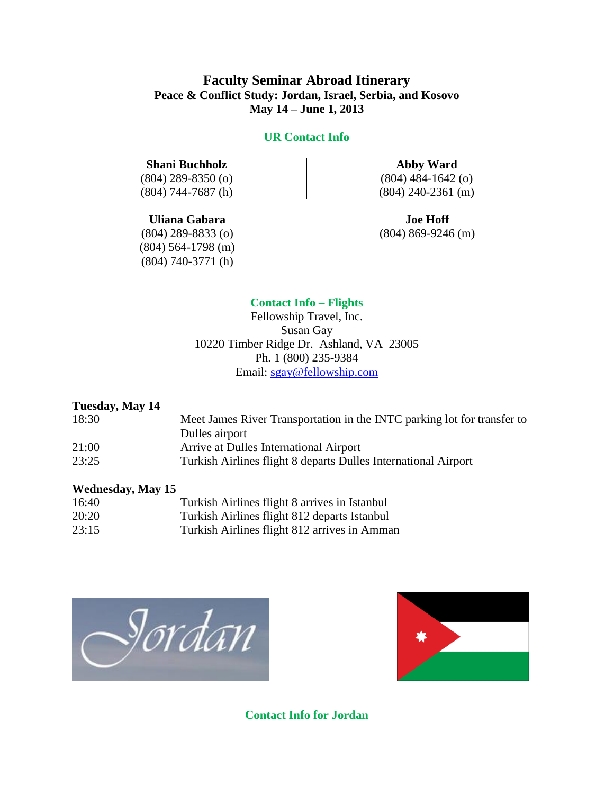# **Faculty Seminar Abroad Itinerary Peace & Conflict Study: Jordan, Israel, Serbia, and Kosovo May 14 – June 1, 2013**

#### **UR Contact Info**

#### **Shani Buchholz Abby Ward**

(804) 744-7687 (h) (804) 240-2361 (m)

#### **Uliana Gabara Joe Hoff**

(804) 564-1798 (m) (804) 740-3771 (h)

(804) 289-8350 (o) (804) 484-1642 (o)

 $(804)$  289-8833 (o) (804) 869-9246 (m)

#### **Contact Info – Flights**

Fellowship Travel, Inc. Susan Gay 10220 Timber Ridge Dr. Ashland, VA 23005 Ph. 1 (800) 235-9384 Email: [sgay@fellowship.com](mailto:sgay@fellowship.com)

#### **Tuesday, May 14**

| 18:30 | Meet James River Transportation in the INTC parking lot for transfer to |
|-------|-------------------------------------------------------------------------|
|       | Dulles airport                                                          |
| 21:00 | Arrive at Dulles International Airport                                  |
| 23:25 | Turkish Airlines flight 8 departs Dulles International Airport          |

#### **Wednesday, May 15**

| 16:40 | Turkish Airlines flight 8 arrives in Istanbul |
|-------|-----------------------------------------------|
| 20:20 | Turkish Airlines flight 812 departs Istanbul  |
| 23:15 | Turkish Airlines flight 812 arrives in Amman  |





**Contact Info for Jordan**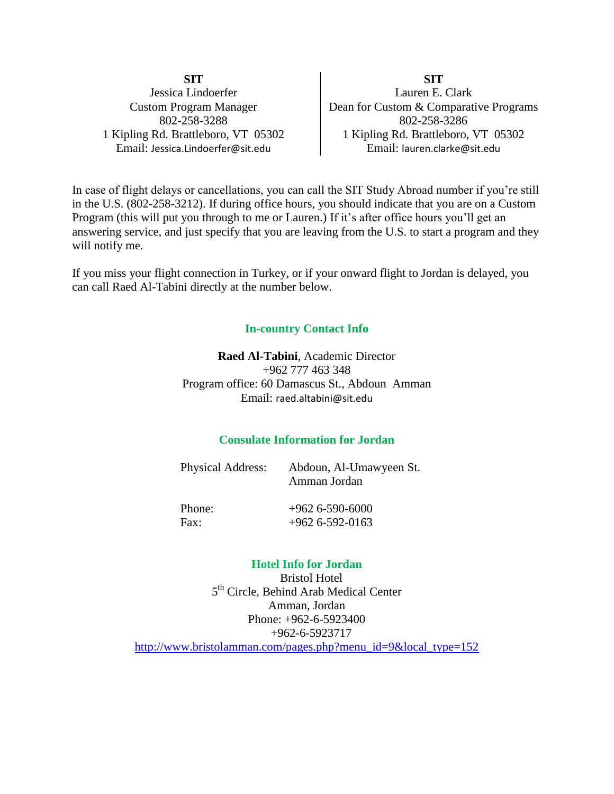**SIT SIT** Jessica Lindoerfer Lauren E. Clark Custom Program Manager Dean for Custom & Comparative Programs 802-258-3288 802-258-3286 1 Kipling Rd. Brattleboro, VT 05302 | 1 Kipling Rd. Brattleboro, VT 05302 Email: Jessica.Lindoerfer@sit.edu Email: lauren.clarke@sit.edu

In case of flight delays or cancellations, you can call the SIT Study Abroad number if you're still in the U.S. (802-258-3212). If during office hours, you should indicate that you are on a Custom Program (this will put you through to me or Lauren.) If it's after office hours you'll get an answering service, and just specify that you are leaving from the U.S. to start a program and they will notify me.

If you miss your flight connection in Turkey, or if your onward flight to Jordan is delayed, you can call Raed Al-Tabini directly at the number below.

### **In-country Contact Info**

**Raed Al-Tabini**, Academic Director +962 777 463 348 Program office: 60 Damascus St., Abdoun Amman Email: raed.altabini@sit.edu

### **Consulate Information for Jordan**

| Physical Address: | Abdoun, Al-Umawyeen St.<br>Amman Jordan |
|-------------------|-----------------------------------------|
| Phone:            | $+962$ 6-590-6000                       |
| Fax:              | $+962$ 6-592-0163                       |

#### **Hotel Info for Jordan**

Bristol Hotel 5<sup>th</sup> Circle, Behind Arab Medical Center Amman, Jordan Phone: +962-6-5923400 +962-6-5923717 [http://www.bristolamman.com/pages.php?menu\\_id=9&local\\_type=152](http://www.bristolamman.com/pages.php?menu_id=9&local_type=152)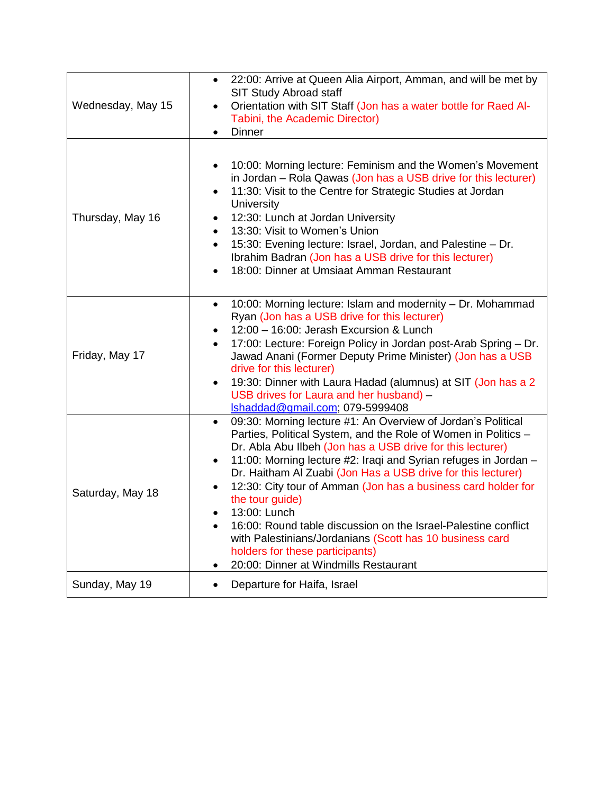| Wednesday, May 15 | 22:00: Arrive at Queen Alia Airport, Amman, and will be met by<br>SIT Study Abroad staff<br>Orientation with SIT Staff (Jon has a water bottle for Raed Al-<br>Tabini, the Academic Director)<br><b>Dinner</b>                                                                                                                                                                                                                                                                                                                                                                                                                                                          |
|-------------------|-------------------------------------------------------------------------------------------------------------------------------------------------------------------------------------------------------------------------------------------------------------------------------------------------------------------------------------------------------------------------------------------------------------------------------------------------------------------------------------------------------------------------------------------------------------------------------------------------------------------------------------------------------------------------|
| Thursday, May 16  | 10:00: Morning lecture: Feminism and the Women's Movement<br>٠<br>in Jordan – Rola Qawas (Jon has a USB drive for this lecturer)<br>11:30: Visit to the Centre for Strategic Studies at Jordan<br>$\bullet$<br>University<br>12:30: Lunch at Jordan University<br>13:30: Visit to Women's Union<br>$\bullet$<br>15:30: Evening lecture: Israel, Jordan, and Palestine - Dr.<br>$\bullet$<br>Ibrahim Badran (Jon has a USB drive for this lecturer)<br>18:00: Dinner at Umsiaat Amman Restaurant                                                                                                                                                                         |
| Friday, May 17    | 10:00: Morning lecture: Islam and modernity - Dr. Mohammad<br>$\bullet$<br>Ryan (Jon has a USB drive for this lecturer)<br>12:00 - 16:00: Jerash Excursion & Lunch<br>٠<br>17:00: Lecture: Foreign Policy in Jordan post-Arab Spring - Dr.<br>$\bullet$<br>Jawad Anani (Former Deputy Prime Minister) (Jon has a USB<br>drive for this lecturer)<br>19:30: Dinner with Laura Hadad (alumnus) at SIT (Jon has a 2<br>$\bullet$<br>USB drives for Laura and her husband) -<br>Ishaddad@gmail.com; 079-5999408                                                                                                                                                             |
| Saturday, May 18  | 09:30: Morning lecture #1: An Overview of Jordan's Political<br>$\bullet$<br>Parties, Political System, and the Role of Women in Politics -<br>Dr. Abla Abu Ilbeh (Jon has a USB drive for this lecturer)<br>11:00: Morning lecture #2: Iraqi and Syrian refuges in Jordan -<br>$\bullet$<br>Dr. Haitham Al Zuabi (Jon Has a USB drive for this lecturer)<br>12:30: City tour of Amman (Jon has a business card holder for<br>the tour guide)<br>13:00: Lunch<br>16:00: Round table discussion on the Israel-Palestine conflict<br>with Palestinians/Jordanians (Scott has 10 business card<br>holders for these participants)<br>20:00: Dinner at Windmills Restaurant |
| Sunday, May 19    | Departure for Haifa, Israel<br>٠                                                                                                                                                                                                                                                                                                                                                                                                                                                                                                                                                                                                                                        |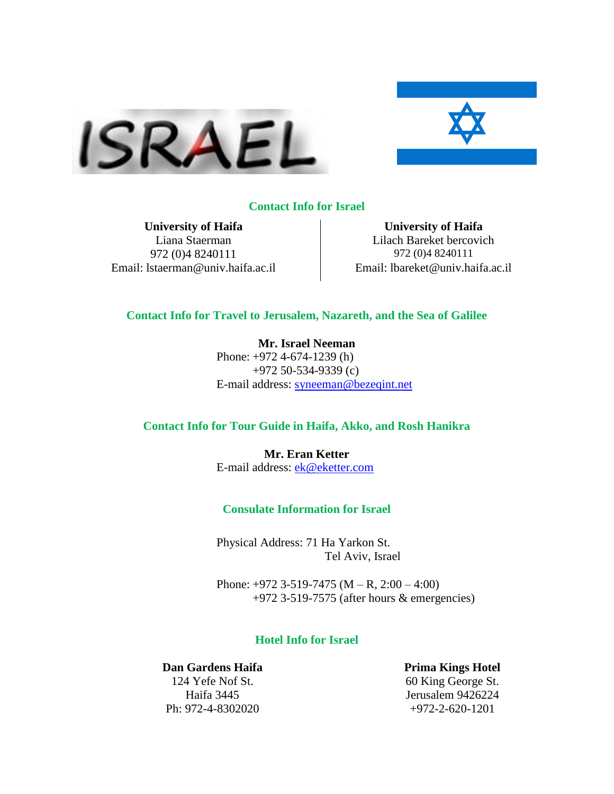



#### **Contact Info for Israel**

**University of Haifa University of Haifa** 972 (0)4 8240111 972 (0)4 8240111 Email: lstaerman@univ.haifa.ac.il Email: lbareket@univ.haifa.ac.il

Liana Staerman Lilach Bareket bercovich

#### **Contact Info for Travel to Jerusalem, Nazareth, and the Sea of Galilee**

**Mr. Israel Neeman** Phone: +972 4-674-1239 (h) +972 50-534-9339 (c) E-mail address: [syneeman@bezeqint.net](mailto:syneeman@bezeqint.net)

#### **Contact Info for Tour Guide in Haifa, Akko, and Rosh Hanikra**

**Mr. Eran Ketter** E-mail address: [ek@eketter.com](mailto:ek@eketter.com)

#### **Consulate Information for Israel**

Physical Address: 71 Ha Yarkon St. Tel Aviv, Israel

Phone: +972 3-519-7475 (M – R, 2:00 – 4:00) +972 3-519-7575 (after hours & emergencies)

#### **Hotel Info for Israel**

**Dan Gardens Haifa Prima Kings Hotel** Ph: 972-4-8302020 +972-2-620-1201

124 Yefe Nof St. 60 King George St. Haifa 3445 Jerusalem 9426224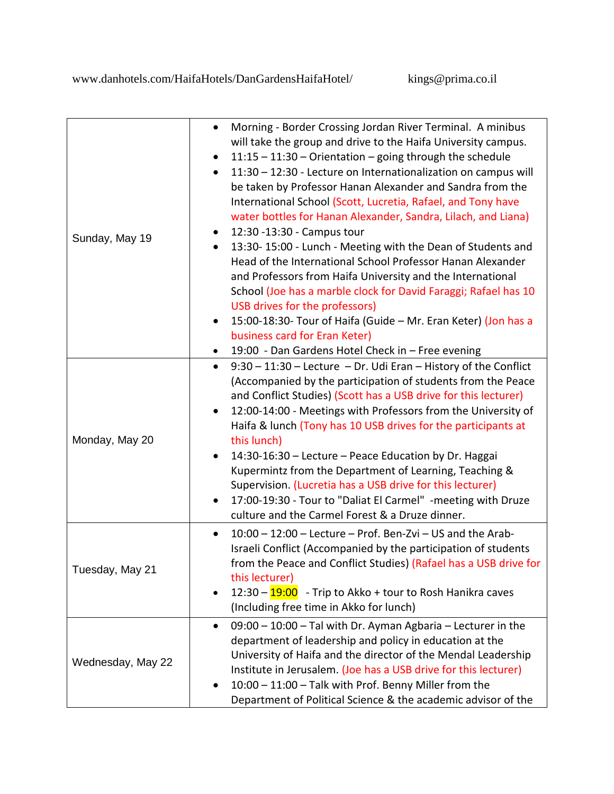| Sunday, May 19    | Morning - Border Crossing Jordan River Terminal. A minibus<br>$\bullet$<br>will take the group and drive to the Haifa University campus.<br>11:15 - 11:30 - Orientation - going through the schedule<br>11:30 - 12:30 - Lecture on Internationalization on campus will<br>be taken by Professor Hanan Alexander and Sandra from the<br>International School (Scott, Lucretia, Rafael, and Tony have<br>water bottles for Hanan Alexander, Sandra, Lilach, and Liana)<br>12:30 -13:30 - Campus tour<br>13:30-15:00 - Lunch - Meeting with the Dean of Students and<br>$\bullet$<br>Head of the International School Professor Hanan Alexander<br>and Professors from Haifa University and the International<br>School (Joe has a marble clock for David Faraggi; Rafael has 10<br>USB drives for the professors)<br>15:00-18:30- Tour of Haifa (Guide - Mr. Eran Keter) (Jon has a<br>business card for Eran Keter)<br>19:00 - Dan Gardens Hotel Check in - Free evening |
|-------------------|-------------------------------------------------------------------------------------------------------------------------------------------------------------------------------------------------------------------------------------------------------------------------------------------------------------------------------------------------------------------------------------------------------------------------------------------------------------------------------------------------------------------------------------------------------------------------------------------------------------------------------------------------------------------------------------------------------------------------------------------------------------------------------------------------------------------------------------------------------------------------------------------------------------------------------------------------------------------------|
| Monday, May 20    | 9:30 - 11:30 - Lecture - Dr. Udi Eran - History of the Conflict<br>$\bullet$<br>(Accompanied by the participation of students from the Peace<br>and Conflict Studies) (Scott has a USB drive for this lecturer)<br>12:00-14:00 - Meetings with Professors from the University of<br>Haifa & lunch (Tony has 10 USB drives for the participants at<br>this lunch)<br>14:30-16:30 - Lecture - Peace Education by Dr. Haggai<br>Kupermintz from the Department of Learning, Teaching &<br>Supervision. (Lucretia has a USB drive for this lecturer)<br>17:00-19:30 - Tour to "Daliat El Carmel" - meeting with Druze<br>culture and the Carmel Forest & a Druze dinner.                                                                                                                                                                                                                                                                                                    |
| Tuesday, May 21   | $10:00 - 12:00$ - Lecture - Prof. Ben-Zvi - US and the Arab-<br>$\bullet$<br>Israeli Conflict (Accompanied by the participation of students<br>from the Peace and Conflict Studies) (Rafael has a USB drive for<br>this lecturer)<br>12:30 - <mark>19:00</mark><br>- Trip to Akko + tour to Rosh Hanikra caves<br>(Including free time in Akko for lunch)                                                                                                                                                                                                                                                                                                                                                                                                                                                                                                                                                                                                               |
| Wednesday, May 22 | 09:00 - 10:00 - Tal with Dr. Ayman Agbaria - Lecturer in the<br>$\bullet$<br>department of leadership and policy in education at the<br>University of Haifa and the director of the Mendal Leadership<br>Institute in Jerusalem. (Joe has a USB drive for this lecturer)<br>10:00 - 11:00 - Talk with Prof. Benny Miller from the<br>Department of Political Science & the academic advisor of the                                                                                                                                                                                                                                                                                                                                                                                                                                                                                                                                                                      |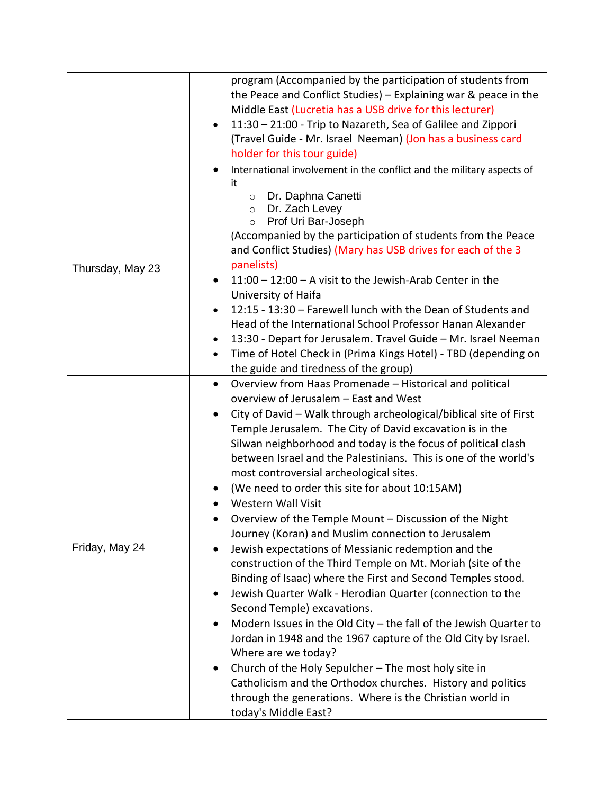|                  | program (Accompanied by the participation of students from                                                                    |
|------------------|-------------------------------------------------------------------------------------------------------------------------------|
|                  | the Peace and Conflict Studies) - Explaining war & peace in the                                                               |
|                  | Middle East (Lucretia has a USB drive for this lecturer)                                                                      |
|                  | 11:30 - 21:00 - Trip to Nazareth, Sea of Galilee and Zippori<br>$\bullet$                                                     |
|                  | (Travel Guide - Mr. Israel Neeman) (Jon has a business card                                                                   |
|                  | holder for this tour guide)                                                                                                   |
|                  | International involvement in the conflict and the military aspects of<br>$\bullet$                                            |
|                  | it                                                                                                                            |
|                  | Dr. Daphna Canetti<br>$\circ$                                                                                                 |
|                  | Dr. Zach Levey<br>$\circ$<br>Prof Uri Bar-Joseph<br>$\circ$                                                                   |
|                  | (Accompanied by the participation of students from the Peace                                                                  |
|                  | and Conflict Studies) (Mary has USB drives for each of the 3                                                                  |
|                  | panelists)                                                                                                                    |
| Thursday, May 23 | $11:00 - 12:00 - A$ visit to the Jewish-Arab Center in the<br>$\bullet$                                                       |
|                  | University of Haifa                                                                                                           |
|                  | 12:15 - 13:30 - Farewell lunch with the Dean of Students and<br>$\bullet$                                                     |
|                  | Head of the International School Professor Hanan Alexander                                                                    |
|                  | 13:30 - Depart for Jerusalem. Travel Guide - Mr. Israel Neeman<br>٠                                                           |
|                  | Time of Hotel Check in (Prima Kings Hotel) - TBD (depending on<br>$\bullet$                                                   |
|                  | the guide and tiredness of the group)                                                                                         |
|                  | Overview from Haas Promenade - Historical and political<br>$\bullet$                                                          |
|                  | overview of Jerusalem - East and West                                                                                         |
|                  |                                                                                                                               |
|                  | City of David - Walk through archeological/biblical site of First<br>Temple Jerusalem. The City of David excavation is in the |
|                  | Silwan neighborhood and today is the focus of political clash                                                                 |
|                  | between Israel and the Palestinians. This is one of the world's                                                               |
|                  | most controversial archeological sites.                                                                                       |
|                  | (We need to order this site for about 10:15AM)                                                                                |
|                  | <b>Western Wall Visit</b>                                                                                                     |
|                  |                                                                                                                               |
|                  | Overview of the Temple Mount - Discussion of the Night                                                                        |
| Friday, May 24   | Journey (Koran) and Muslim connection to Jerusalem                                                                            |
|                  | Jewish expectations of Messianic redemption and the<br>$\bullet$                                                              |
|                  | construction of the Third Temple on Mt. Moriah (site of the                                                                   |
|                  | Binding of Isaac) where the First and Second Temples stood.                                                                   |
|                  | Jewish Quarter Walk - Herodian Quarter (connection to the<br>٠                                                                |
|                  | Second Temple) excavations.                                                                                                   |
|                  | Modern Issues in the Old City - the fall of the Jewish Quarter to                                                             |
|                  | Jordan in 1948 and the 1967 capture of the Old City by Israel.                                                                |
|                  | Where are we today?                                                                                                           |
|                  | Church of the Holy Sepulcher - The most holy site in<br>$\bullet$                                                             |
|                  | Catholicism and the Orthodox churches. History and politics                                                                   |
|                  | through the generations. Where is the Christian world in                                                                      |
|                  | today's Middle East?                                                                                                          |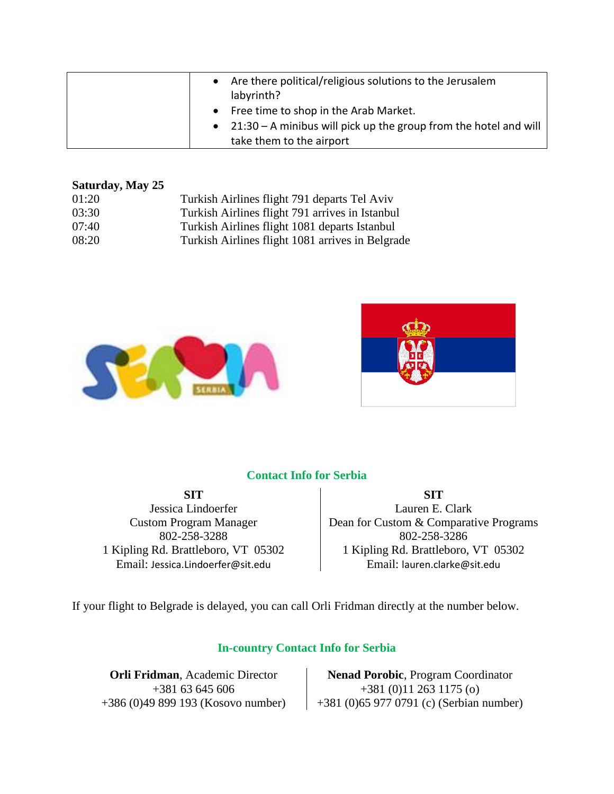|  | Are there political/religious solutions to the Jerusalem<br>labyrinth?                                                                      |
|--|---------------------------------------------------------------------------------------------------------------------------------------------|
|  | • Free time to shop in the Arab Market.<br>• $21:30 - A$ minibus will pick up the group from the hotel and will<br>take them to the airport |

### **Saturday, May 25**

| 01:20 | Turkish Airlines flight 791 departs Tel Aviv |
|-------|----------------------------------------------|
|-------|----------------------------------------------|

- 03:30 Turkish Airlines flight 791 arrives in Istanbul
- 07:40 Turkish Airlines flight 1081 departs Istanbul
- 08:20 Turkish Airlines flight 1081 arrives in Belgrade





# **Contact Info for Serbia**

**SIT SIT** Jessica Lindoerfer **Lauren E. Clark** Custom Program Manager Dean for Custom & Comparative Programs 802-258-3288 802-258-3286 1 Kipling Rd. Brattleboro, VT 05302 | 1 Kipling Rd. Brattleboro, VT 05302 Email: Jessica.Lindoerfer@sit.edu Email: lauren.clarke@sit.edu

If your flight to Belgrade is delayed, you can call Orli Fridman directly at the number below.

# **In-country Contact Info for Serbia**

**Orli Fridman**, Academic Director **Nenad Porobic**, Program Coordinator  $+381\,63\,645\,606$   $+381\,(0)11\,263\,1175\,(o)$ +386 (0)49 899 193 (Kosovo number) +381 (0)65 977 0791 (c) (Serbian number)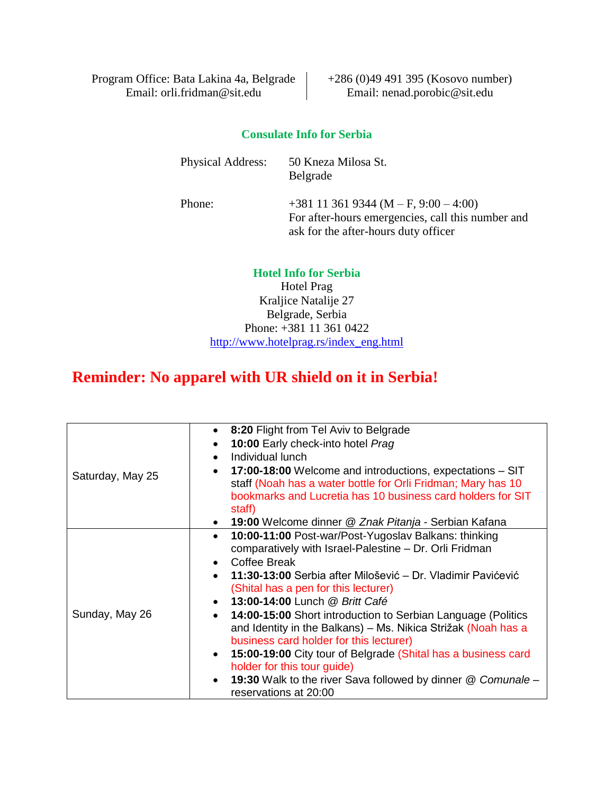Program Office: Bata Lakina 4a, Belgrade  $\vert$  +286 (0)49 491 395 (Kosovo number) Email: orli.fridman@sit.edu Email: nenad.porobic@sit.edu

## **Consulate Info for Serbia**

Physical Address: 50 Kneza Milosa St.

Belgrade

Phone:  $+381\ 11\ 361\ 9344\ (M - F, 9:00 - 4:00)$ For after-hours emergencies, call this number and ask for the after-hours duty officer

## **Hotel Info for Serbia**

Hotel Prag Kraljice Natalije 27 Belgrade, Serbia Phone: +381 11 361 0422 [http://www.hotelprag.rs/index\\_eng.html](http://www.hotelprag.rs/index_eng.html)

# **Reminder: No apparel with UR shield on it in Serbia!**

|                  | • 8:20 Flight from Tel Aviv to Belgrade                                                                                                                                                                                                                                                                                                                                                                                                                                                                                                                                                                                                          |
|------------------|--------------------------------------------------------------------------------------------------------------------------------------------------------------------------------------------------------------------------------------------------------------------------------------------------------------------------------------------------------------------------------------------------------------------------------------------------------------------------------------------------------------------------------------------------------------------------------------------------------------------------------------------------|
|                  | 10:00 Early check-into hotel Prag                                                                                                                                                                                                                                                                                                                                                                                                                                                                                                                                                                                                                |
|                  | Individual lunch                                                                                                                                                                                                                                                                                                                                                                                                                                                                                                                                                                                                                                 |
| Saturday, May 25 | 17:00-18:00 Welcome and introductions, expectations – SIT<br>staff (Noah has a water bottle for Orli Fridman; Mary has 10<br>bookmarks and Lucretia has 10 business card holders for SIT<br>staff)                                                                                                                                                                                                                                                                                                                                                                                                                                               |
|                  | • 19:00 Welcome dinner @ Znak Pitanja - Serbian Kafana                                                                                                                                                                                                                                                                                                                                                                                                                                                                                                                                                                                           |
| Sunday, May 26   | 10:00-11:00 Post-war/Post-Yugoslav Balkans: thinking<br>comparatively with Israel-Palestine - Dr. Orli Fridman<br>Coffee Break<br>11:30-13:00 Serbia after Milošević – Dr. Vladimir Pavićević<br>(Shital has a pen for this lecturer)<br>• 13:00-14:00 Lunch @ Britt Café<br>• 14:00-15:00 Short introduction to Serbian Language (Politics<br>and Identity in the Balkans) - Ms. Nikica Strižak (Noah has a<br>business card holder for this lecturer)<br>15:00-19:00 City tour of Belgrade (Shital has a business card<br>holder for this tour guide)<br>19:30 Walk to the river Sava followed by dinner @ Comunale -<br>reservations at 20:00 |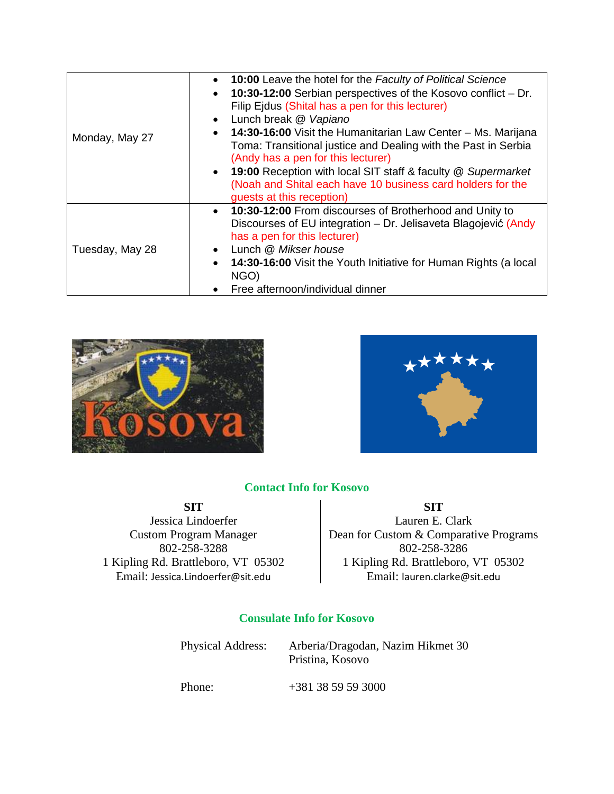| Monday, May 27  | • 10:00 Leave the hotel for the Faculty of Political Science<br>• 10:30-12:00 Serbian perspectives of the Kosovo conflict - Dr.<br>Filip Ejdus (Shital has a pen for this lecturer)<br>Lunch break @ Vapiano<br>$\bullet$<br>• 14:30-16:00 Visit the Humanitarian Law Center - Ms. Marijana<br>Toma: Transitional justice and Dealing with the Past in Serbia<br>(Andy has a pen for this lecturer)<br>• 19:00 Reception with local SIT staff & faculty @ Supermarket<br>(Noah and Shital each have 10 business card holders for the<br>guests at this reception) |
|-----------------|-------------------------------------------------------------------------------------------------------------------------------------------------------------------------------------------------------------------------------------------------------------------------------------------------------------------------------------------------------------------------------------------------------------------------------------------------------------------------------------------------------------------------------------------------------------------|
| Tuesday, May 28 | • 10:30-12:00 From discourses of Brotherhood and Unity to<br>Discourses of EU integration - Dr. Jelisaveta Blagojević (Andy<br>has a pen for this lecturer)<br>Lunch @ Mikser house<br>$\bullet$<br>• 14:30-16:00 Visit the Youth Initiative for Human Rights (a local<br>NGO)<br>Free afternoon/individual dinner<br>$\bullet$                                                                                                                                                                                                                                   |





# **Contact Info for Kosovo**

Jessica Lindoerfer<br>
Custom Program Manager<br>
Dean for Custom & Comparat Email: Jessica.Lindoerfer@sit.edu | Email: lauren.clarke@sit.edu

**SIT SIT** Dean for Custom & Comparative Programs 802-258-3288 802-258-3286 1 Kipling Rd. Brattleboro, VT 05302 1 Kipling Rd. Brattleboro, VT 05302

# **Consulate Info for Kosovo**

Physical Address: Arberia/Dragodan, Nazim Hikmet 30 Pristina, Kosovo

Phone: +381 38 59 59 3000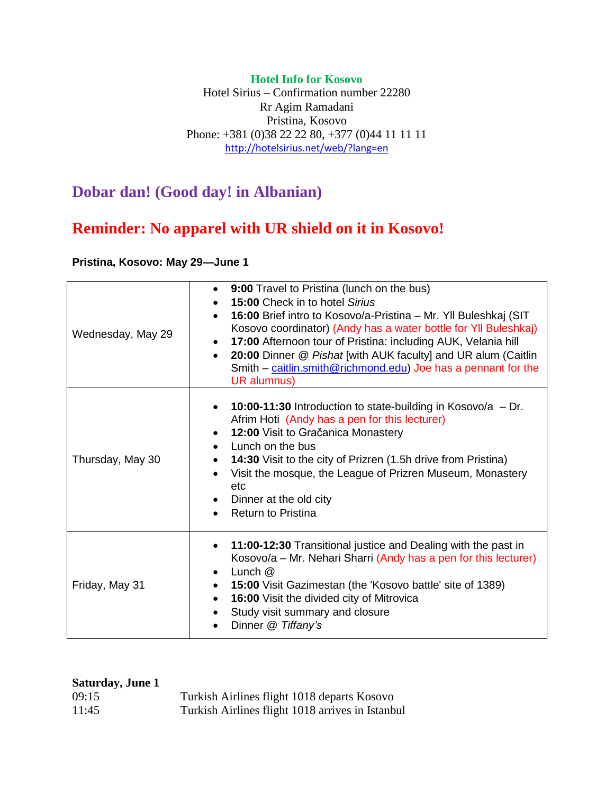## **Hotel Info for Kosovo**

Hotel Sirius – Confirmation number 22280 Rr Agim Ramadani Pristina, Kosovo Phone: +381 (0)38 22 22 80, +377 (0)44 11 11 11 <http://hotelsirius.net/web/?lang=en>

# **Dobar dan! (Good day! in Albanian)**

# **Reminder: No apparel with UR shield on it in Kosovo!**

**Pristina, Kosovo: May 29—June 1**

| Wednesday, May 29 | 9:00 Travel to Pristina (lunch on the bus)<br>٠<br>15:00 Check in to hotel Sirius<br>16:00 Brief intro to Kosovo/a-Pristina – Mr. Yll Buleshkaj (SIT<br>Kosovo coordinator) (Andy has a water bottle for Yll Buleshkaj)<br>17:00 Afternoon tour of Pristina: including AUK, Velania hill<br>20:00 Dinner @ Pishat [with AUK faculty] and UR alum (Caitlin<br>Smith – caitlin.smith@richmond.edu) Joe has a pennant for the<br>UR alumnus) |
|-------------------|-------------------------------------------------------------------------------------------------------------------------------------------------------------------------------------------------------------------------------------------------------------------------------------------------------------------------------------------------------------------------------------------------------------------------------------------|
| Thursday, May 30  | 10:00-11:30 Introduction to state-building in Kosovo/a $-$ Dr.<br>Afrim Hoti (Andy has a pen for this lecturer)<br>12:00 Visit to Gračanica Monastery<br>Lunch on the bus<br>14:30 Visit to the city of Prizren (1.5h drive from Pristina)<br>Visit the mosque, the League of Prizren Museum, Monastery<br>etc<br>Dinner at the old city<br><b>Return to Pristina</b>                                                                     |
| Friday, May 31    | 11:00-12:30 Transitional justice and Dealing with the past in<br>$\bullet$<br>Kosovo/a – Mr. Nehari Sharri (Andy has a pen for this lecturer)<br>Lunch $@$<br>15:00 Visit Gazimestan (the 'Kosovo battle' site of 1389)<br>$\bullet$<br>16:00 Visit the divided city of Mitrovica<br>$\bullet$<br>Study visit summary and closure<br>Dinner @ Tiffany's                                                                                   |

| <b>Saturday, June 1</b> |                                                  |
|-------------------------|--------------------------------------------------|
| 09:15                   | Turkish Airlines flight 1018 departs Kosovo      |
| 11:45                   | Turkish Airlines flight 1018 arrives in Istanbul |